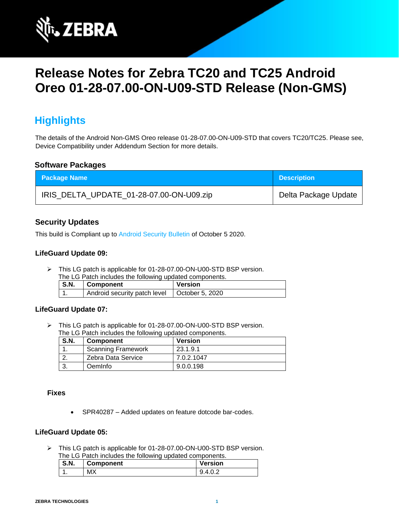

# **Release Notes for Zebra TC20 and TC25 Android Oreo 01-28-07.00-ON-U09-STD Release (Non-GMS)**

# **Highlights**

The details of the Android Non-GMS Oreo release 01-28-07.00-ON-U09-STD that covers TC20/TC25. Please see, Device Compatibility under Addendum Section for more details.

#### **Software Packages**

| <b>Package Name</b>                      | <b>Description</b>   |
|------------------------------------------|----------------------|
| IRIS_DELTA_UPDATE_01-28-07.00-ON-U09.zip | Delta Package Update |

### **Security Updates**

This build is Compliant up to [Android Security Bulletin](https://source.android.com/security/bulletin/) of October 5 2020.

#### **LifeGuard Update 09:**

➢ This LG patch is applicable for 01-28-07.00-ON-U00-STD BSP version. The LG Patch includes the following updated components.

| THE LOT AND HIGHAGES THE RUIDWING UPGARED COMPONEHIS. |                                                |         |
|-------------------------------------------------------|------------------------------------------------|---------|
| $\vert$ S.N.                                          | <b>Component</b>                               | Version |
|                                                       | Android security patch level   October 5, 2020 |         |

#### **LifeGuard Update 07:**

➢ This LG patch is applicable for 01-28-07.00-ON-U00-STD BSP version. The LG Patch includes the following updated components.

| <b>S.N.</b> | <b>Component</b>          | <b>Version</b> |
|-------------|---------------------------|----------------|
|             | <b>Scanning Framework</b> | 23.1.9.1       |
|             | Zebra Data Service        | 7.0.2.1047     |
|             | Oeminfo                   | 9.0.0.198      |

#### **Fixes**

• SPR40287 – Added updates on feature dotcode bar-codes.

### **LifeGuard Update 05:**

➢ This LG patch is applicable for 01-28-07.00-ON-U00-STD BSP version. The LG Patch includes the following updated components.

| S.N. | <b>Component</b> | <b>Version</b> |
|------|------------------|----------------|
| . .  | МX               | 4 O 2<br>u     |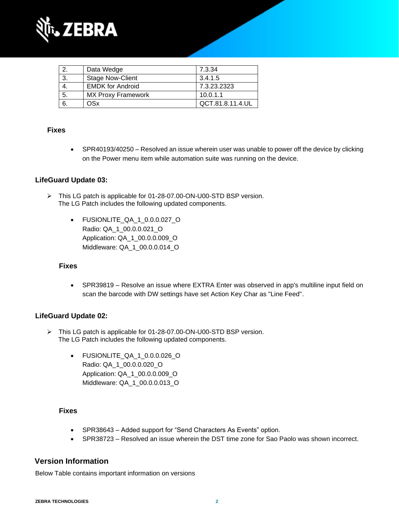

|     | Data Wedge                | 7.3.34           |
|-----|---------------------------|------------------|
| -3. | <b>Stage Now-Client</b>   | 3.4.1.5          |
|     | <b>EMDK for Android</b>   | 7.3.23.2323      |
| 5.  | <b>MX Proxy Framework</b> | 10.0.1.1         |
|     | OSx                       | QCT.81.8.11.4.UL |

### **Fixes**

• SPR40193/40250 – Resolved an issue wherein user was unable to power off the device by clicking on the Power menu item while automation suite was running on the device.

## **LifeGuard Update 03:**

- ➢ This LG patch is applicable for 01-28-07.00-ON-U00-STD BSP version. The LG Patch includes the following updated components.
	- FUSIONLITE\_QA\_1\_0.0.0.027\_O Radio: QA\_1\_00.0.0.021\_O Application: QA\_1\_00.0.0.009\_O Middleware: QA\_1\_00.0.0.014\_O

#### **Fixes**

• SPR39819 – Resolve an issue where EXTRA Enter was observed in app's multiline input field on scan the barcode with DW settings have set Action Key Char as "Line Feed".

#### **LifeGuard Update 02:**

- ➢ This LG patch is applicable for 01-28-07.00-ON-U00-STD BSP version. The LG Patch includes the following updated components.
	- FUSIONLITE\_QA\_1\_0.0.0.026\_O Radio: QA\_1\_00.0.0.020\_O Application: QA\_1\_00.0.0.009\_O Middleware: QA\_1\_00.0.0.013\_O

#### **Fixes**

- SPR38643 Added support for "Send Characters As Events" option.
- SPR38723 Resolved an issue wherein the DST time zone for Sao Paolo was shown incorrect.

### **Version Information**

Below Table contains important information on versions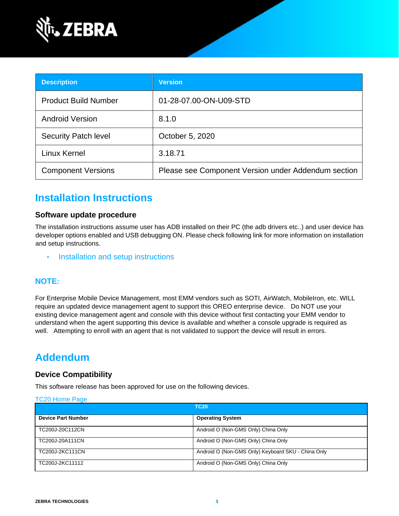

| <b>Description</b>          | <b>Version</b>                                      |
|-----------------------------|-----------------------------------------------------|
| <b>Product Build Number</b> | 01-28-07.00-ON-U09-STD                              |
| <b>Android Version</b>      | 8.1.0                                               |
| <b>Security Patch level</b> | October 5, 2020                                     |
| Linux Kernel                | 3.18.71                                             |
| <b>Component Versions</b>   | Please see Component Version under Addendum section |

# **Installation Instructions**

### **Software update procedure**

The installation instructions assume user has ADB installed on their PC (the adb drivers etc..) and user device has developer options enabled and USB debugging ON. Please check following link for more information on installation and setup instructions.

• [Installation and setup instructions](https://www.zebra.com/content/dam/zebra_new_ia/en-us/software/operating-system/tc20-operating-system/Android-O-OS-Update-TC20-and-TC25-NGMS.pdf)

### **NOTE:**

For Enterprise Mobile Device Management, most EMM vendors such as SOTI, AirWatch, MobileIron, etc. WILL require an updated device management agent to support this OREO enterprise device. Do NOT use your existing device management agent and console with this device without first contacting your EMM vendor to understand when the agent supporting this device is available and whether a console upgrade is required as well. Attempting to enroll with an agent that is not validated to support the device will result in errors.

# **Addendum**

### **Device Compatibility**

This software release has been approved for use on the following devices.

#### [TC20 Home Page](https://www.zebra.com/us/en/support-downloads/software/operating-system/tc20-operating-system-non-gms.html)

| <b>TC20</b>               |                                                    |  |
|---------------------------|----------------------------------------------------|--|
| <b>Device Part Number</b> | <b>Operating System</b>                            |  |
| TC200J-20C112CN           | Android O (Non-GMS Only) China Only                |  |
| TC200J-20A111CN           | Android O (Non-GMS Only) China Only                |  |
| TC200J-2KC111CN           | Android O (Non-GMS Only) Keyboard SKU - China Only |  |
| TC200J-2KC11112           | Android O (Non-GMS Only) China Only                |  |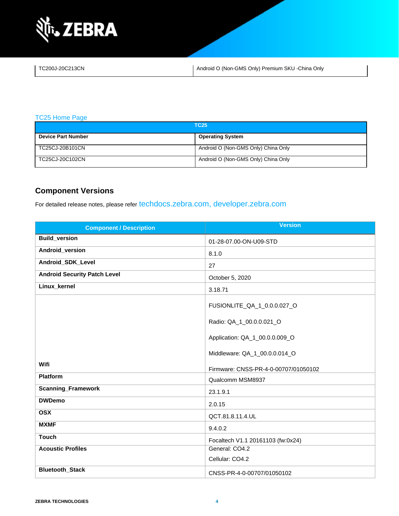

| TC200J-20C213CN | Android O (Non-GMS Only) Premium SKU - China Only |
|-----------------|---------------------------------------------------|
|                 |                                                   |

[TC25 Home Page](https://www.zebra.com/us/en/support-downloads/software/operating-system/tc25-operating-system-non-gms.html)

| <b>TC25</b>               |                                     |  |
|---------------------------|-------------------------------------|--|
| <b>Device Part Number</b> | <b>Operating System</b>             |  |
| TC25CJ-20B101CN           | Android O (Non-GMS Only) China Only |  |
| TC25CJ-20C102CN           | Android O (Non-GMS Only) China Only |  |

# **Component Versions**

For detailed release notes, please refer [techdocs.zebra.com,](https://techdocs.zebra.com/) [developer.zebra.com](https://developer.zebra.com/)

| <b>Component / Description</b>      | <b>Version</b>                       |
|-------------------------------------|--------------------------------------|
| <b>Build_version</b>                | 01-28-07.00-ON-U09-STD               |
| Android_version                     | 8.1.0                                |
| Android_SDK_Level                   | 27                                   |
| <b>Android Security Patch Level</b> | October 5, 2020                      |
| Linux_kernel                        | 3.18.71                              |
|                                     | FUSIONLITE_QA_1_0.0.0.027_O          |
|                                     | Radio: QA_1_00.0.0.021_O             |
|                                     | Application: QA_1_00.0.0.009_O       |
|                                     | Middleware: QA_1_00.0.0.014_O        |
| Wifi                                | Firmware: CNSS-PR-4-0-00707/01050102 |
| <b>Platform</b>                     | Qualcomm MSM8937                     |
| <b>Scanning_Framework</b>           | 23.1.9.1                             |
| <b>DWDemo</b>                       | 2.0.15                               |
| <b>OSX</b>                          | QCT.81.8.11.4.UL                     |
| <b>MXMF</b>                         | 9.4.0.2                              |
| <b>Touch</b>                        | Focaltech V1.1 20161103 (fw:0x24)    |
| <b>Acoustic Profiles</b>            | General: CO4.2                       |
|                                     | Cellular: CO4.2                      |
| <b>Bluetooth_Stack</b>              | CNSS-PR-4-0-00707/01050102           |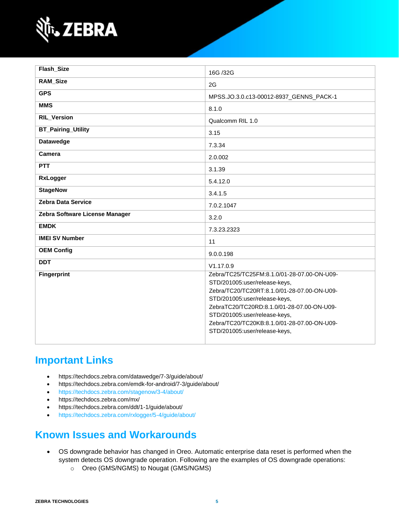

| Flash_Size                     | 16G /32G                                                                                                                                                                                                                                                                                                                    |
|--------------------------------|-----------------------------------------------------------------------------------------------------------------------------------------------------------------------------------------------------------------------------------------------------------------------------------------------------------------------------|
| <b>RAM_Size</b>                | 2G                                                                                                                                                                                                                                                                                                                          |
| <b>GPS</b>                     | MPSS.JO.3.0.c13-00012-8937_GENNS_PACK-1                                                                                                                                                                                                                                                                                     |
| <b>MMS</b>                     | 8.1.0                                                                                                                                                                                                                                                                                                                       |
| <b>RIL_Version</b>             | Qualcomm RIL 1.0                                                                                                                                                                                                                                                                                                            |
| <b>BT_Pairing_Utility</b>      | 3.15                                                                                                                                                                                                                                                                                                                        |
| <b>Datawedge</b>               | 7.3.34                                                                                                                                                                                                                                                                                                                      |
| Camera                         | 2.0.002                                                                                                                                                                                                                                                                                                                     |
| PTT                            | 3.1.39                                                                                                                                                                                                                                                                                                                      |
| <b>RxLogger</b>                | 5.4.12.0                                                                                                                                                                                                                                                                                                                    |
| <b>StageNow</b>                | 3.4.1.5                                                                                                                                                                                                                                                                                                                     |
| <b>Zebra Data Service</b>      | 7.0.2.1047                                                                                                                                                                                                                                                                                                                  |
| Zebra Software License Manager | 3.2.0                                                                                                                                                                                                                                                                                                                       |
| <b>EMDK</b>                    | 7.3.23.2323                                                                                                                                                                                                                                                                                                                 |
| <b>IMEI SV Number</b>          | 11                                                                                                                                                                                                                                                                                                                          |
| <b>OEM Config</b>              | 9.0.0.198                                                                                                                                                                                                                                                                                                                   |
| <b>DDT</b>                     | V1.17.0.9                                                                                                                                                                                                                                                                                                                   |
| <b>Fingerprint</b>             | Zebra/TC25/TC25FM:8.1.0/01-28-07.00-ON-U09-<br>STD/201005:user/release-keys,<br>Zebra/TC20/TC20RT:8.1.0/01-28-07.00-ON-U09-<br>STD/201005:user/release-keys,<br>ZebraTC20/TC20RD:8.1.0/01-28-07.00-ON-U09-<br>STD/201005:user/release-keys,<br>Zebra/TC20/TC20KB:8.1.0/01-28-07.00-ON-U09-<br>STD/201005:user/release-keys, |

# **Important Links**

- <https://techdocs.zebra.com/datawedge/7-3/guide/about/>
- <https://techdocs.zebra.com/emdk-for-android/7-3/guide/about/>
- <https://techdocs.zebra.com/stagenow/3-4/about/>
- <https://techdocs.zebra.com/mx/>
- <https://techdocs.zebra.com/ddt/1-1/guide/about/>
- <https://techdocs.zebra.com/rxlogger/5-4/guide/about/>

# **Known Issues and Workarounds**

- OS downgrade behavior has changed in Oreo. Automatic enterprise data reset is performed when the system detects OS downgrade operation. Following are the examples of OS downgrade operations:
	- o Oreo (GMS/NGMS) to Nougat (GMS/NGMS)